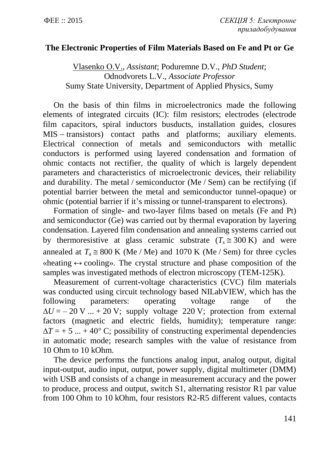## **The Electronic Properties of Film Materials Based on Fe and Pt or Ge**

Vlasenko О.V., *Assistant*; Poduremne D.V., *PhD Student*; Odnodvorets L.V., *Associate Professor* Sumy State University, Department of Applied Physics, Sumy

On the basis of thin films in microelectronics made the following elements of integrated circuits (IC): film resistors; electrodes (electrode film capacitors, spiral inductors busducts, installation guides, closures MIS – transistors) contact paths and platforms; auxiliary elements. Electrical connection of metals and semiconductors with metallic conductors is performed using layered condensation and formation of ohmic contacts not rectifier, the quality of which is largely dependent parameters and characteristics of microelectronic devices, their reliability and durability. The metal / semiconductor (Me / Sem) can be rectifying (if potential barrier between the metal and semiconductor tunnel-opaque) or ohmic (potential barrier if it's missing or tunnel-transparent to electrons).

Formation of single- and two-layer films based on metals (Fe and Pt) and semiconductor (Ge) was carried out by thermal evaporation by layering condensation. Layered film condensation and annealing systems carried out by thermoresistive at glass ceramic substrate  $(T_s \approx 300 \text{ K})$  and were annealed at  $T_a \approx 800 \text{ K}$  (Me / Me) and 1070 K (Me / Sem) for three cycles  $\alpha$  wheating  $\leftrightarrow$  coolings. The crystal structure and phase composition of the samples was investigated methods of electron microscopy (TEM-125K).

Measurement of current-voltage characteristics (CVC) film materials was conducted using circuit technology based NILabVIEW, which has the following parameters: operating voltage range of the  $\Delta U = -20$  V ...  $+ 20$  V; supply voltage 220 V; protection from external factors (magnetic and electric fields, humidity); temperature range:  $\Delta T = +5$  ... + 40° C; possibility of constructing experimental dependencies in automatic mode; research samples with the value of resistance from 10 Ohm to 10 kOhm.

The device performs the functions analog input, analog output, digital input-output, audio input, output, power supply, digital multimeter (DMM) with USB and consists of a change in measurement accuracy and the power to produce, process and output, switch S1, alternating resistor R1 par value from 100 Ohm to 10 kOhm, four resistors R2-R5 different values, contacts